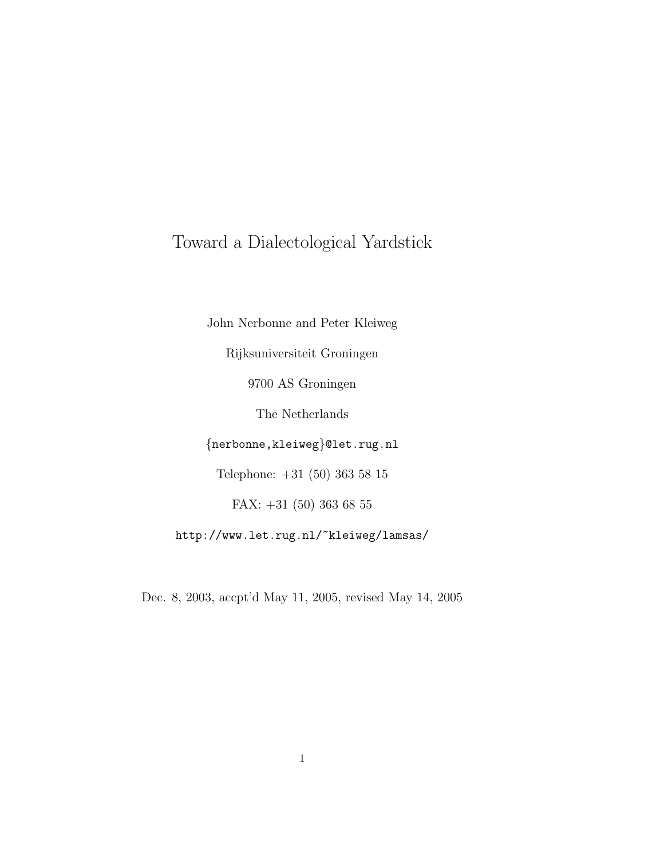# Toward a Dialectological Yardstick

John Nerbonne and Peter Kleiweg Rijksuniversiteit Groningen 9700 AS Groningen The Netherlands {nerbonne,kleiweg}@let.rug.nl Telephone: +31 (50) 363 58 15 FAX: +31 (50) 363 68 55 http://www.let.rug.nl/~kleiweg/lamsas/

Dec. 8, 2003, accpt'd May 11, 2005, revised May 14, 2005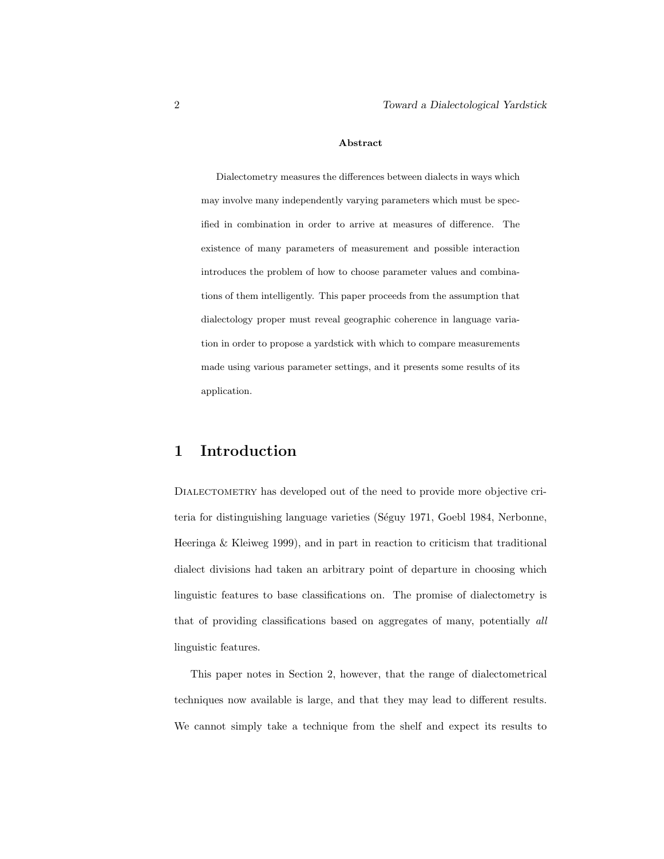#### Abstract

Dialectometry measures the differences between dialects in ways which may involve many independently varying parameters which must be specified in combination in order to arrive at measures of difference. The existence of many parameters of measurement and possible interaction introduces the problem of how to choose parameter values and combinations of them intelligently. This paper proceeds from the assumption that dialectology proper must reveal geographic coherence in language variation in order to propose a yardstick with which to compare measurements made using various parameter settings, and it presents some results of its application.

### 1 Introduction

DIALECTOMETRY has developed out of the need to provide more objective criteria for distinguishing language varieties (Séguy 1971, Goebl 1984, Nerbonne, Heeringa & Kleiweg 1999), and in part in reaction to criticism that traditional dialect divisions had taken an arbitrary point of departure in choosing which linguistic features to base classifications on. The promise of dialectometry is that of providing classifications based on aggregates of many, potentially all linguistic features.

This paper notes in Section 2, however, that the range of dialectometrical techniques now available is large, and that they may lead to different results. We cannot simply take a technique from the shelf and expect its results to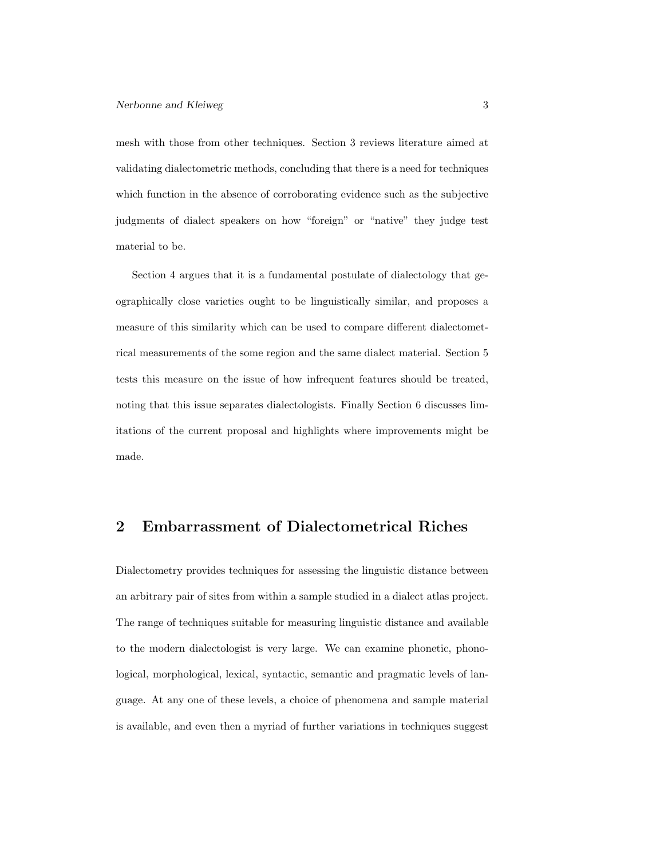mesh with those from other techniques. Section 3 reviews literature aimed at validating dialectometric methods, concluding that there is a need for techniques which function in the absence of corroborating evidence such as the subjective judgments of dialect speakers on how "foreign" or "native" they judge test material to be.

Section 4 argues that it is a fundamental postulate of dialectology that geographically close varieties ought to be linguistically similar, and proposes a measure of this similarity which can be used to compare different dialectometrical measurements of the some region and the same dialect material. Section 5 tests this measure on the issue of how infrequent features should be treated, noting that this issue separates dialectologists. Finally Section 6 discusses limitations of the current proposal and highlights where improvements might be made.

# 2 Embarrassment of Dialectometrical Riches

Dialectometry provides techniques for assessing the linguistic distance between an arbitrary pair of sites from within a sample studied in a dialect atlas project. The range of techniques suitable for measuring linguistic distance and available to the modern dialectologist is very large. We can examine phonetic, phonological, morphological, lexical, syntactic, semantic and pragmatic levels of language. At any one of these levels, a choice of phenomena and sample material is available, and even then a myriad of further variations in techniques suggest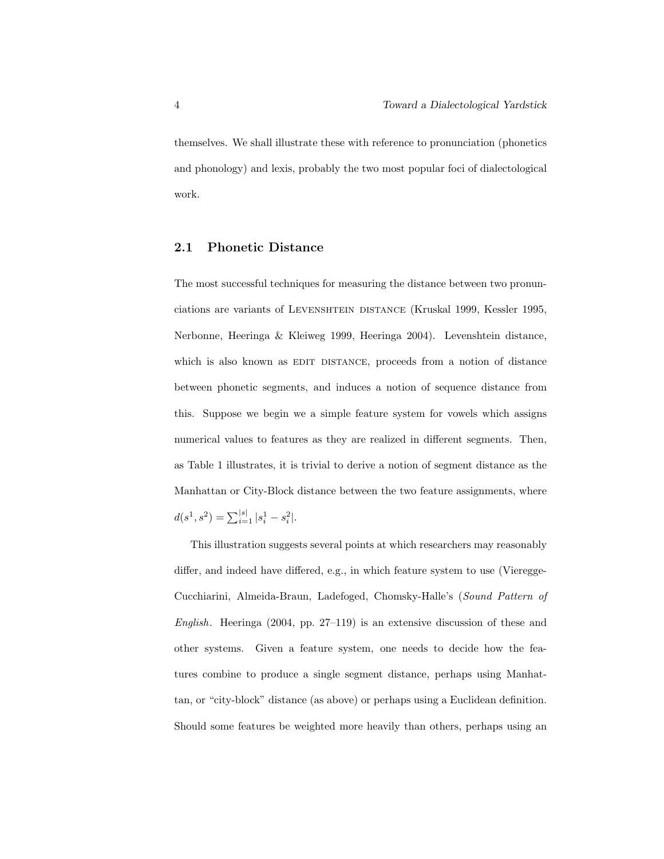themselves. We shall illustrate these with reference to pronunciation (phonetics and phonology) and lexis, probably the two most popular foci of dialectological work.

#### 2.1 Phonetic Distance

The most successful techniques for measuring the distance between two pronunciations are variants of LEVENSHTEIN DISTANCE (Kruskal 1999, Kessler 1995, Nerbonne, Heeringa & Kleiweg 1999, Heeringa 2004). Levenshtein distance, which is also known as EDIT DISTANCE, proceeds from a notion of distance between phonetic segments, and induces a notion of sequence distance from this. Suppose we begin we a simple feature system for vowels which assigns numerical values to features as they are realized in different segments. Then, as Table 1 illustrates, it is trivial to derive a notion of segment distance as the Manhattan or City-Block distance between the two feature assignments, where  $d(s^1, s^2) = \sum_{i=1}^{|s|} |s_i^1 - s_i^2|.$ 

This illustration suggests several points at which researchers may reasonably differ, and indeed have differed, e.g., in which feature system to use (Vieregge-Cucchiarini, Almeida-Braun, Ladefoged, Chomsky-Halle's (Sound Pattern of English. Heeringa (2004, pp. 27–119) is an extensive discussion of these and other systems. Given a feature system, one needs to decide how the features combine to produce a single segment distance, perhaps using Manhattan, or "city-block" distance (as above) or perhaps using a Euclidean definition. Should some features be weighted more heavily than others, perhaps using an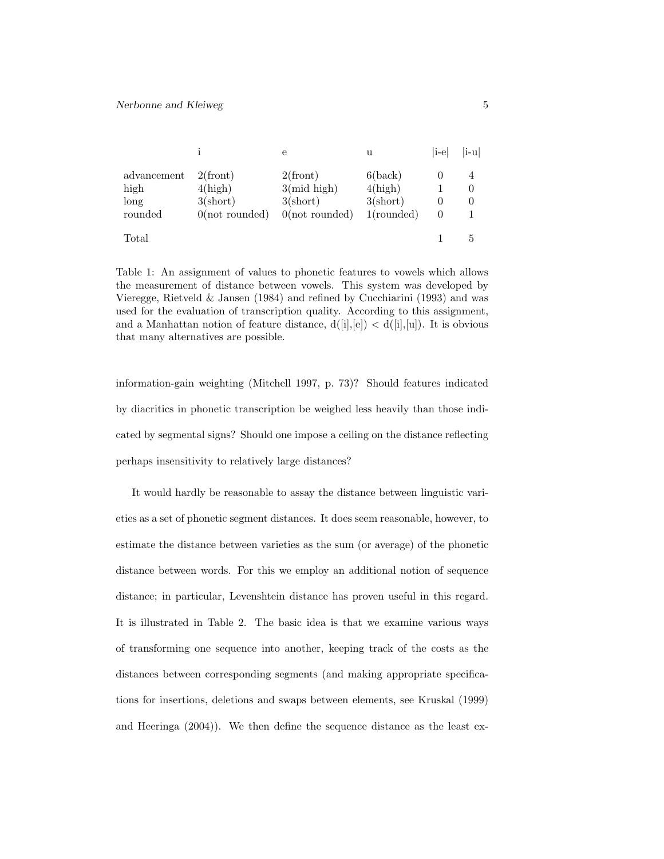|             |                         | е                       | u                 | li-el    | i-u      |
|-------------|-------------------------|-------------------------|-------------------|----------|----------|
| advancement | $2$ (front)             | $2$ (front)             | 6(back)           |          |          |
| high        | 4(high)                 | $3$ (mid high)          | 4(high)           |          | $\theta$ |
| long        | $3(\text{short})$       | $3(\text{short})$       | $3(\text{short})$ |          | $\theta$ |
| rounded     | $0(\text{not rounded})$ | $0(\text{not rounded})$ | $1$ (rounded)     | $\theta$ |          |
| Total       |                         |                         |                   |          |          |

Table 1: An assignment of values to phonetic features to vowels which allows the measurement of distance between vowels. This system was developed by Vieregge, Rietveld & Jansen (1984) and refined by Cucchiarini (1993) and was used for the evaluation of transcription quality. According to this assignment, and a Manhattan notion of feature distance,  $d([i],[e]) < d([i],[u])$ . It is obvious that many alternatives are possible.

information-gain weighting (Mitchell 1997, p. 73)? Should features indicated by diacritics in phonetic transcription be weighed less heavily than those indicated by segmental signs? Should one impose a ceiling on the distance reflecting perhaps insensitivity to relatively large distances?

It would hardly be reasonable to assay the distance between linguistic varieties as a set of phonetic segment distances. It does seem reasonable, however, to estimate the distance between varieties as the sum (or average) of the phonetic distance between words. For this we employ an additional notion of sequence distance; in particular, Levenshtein distance has proven useful in this regard. It is illustrated in Table 2. The basic idea is that we examine various ways of transforming one sequence into another, keeping track of the costs as the distances between corresponding segments (and making appropriate specifications for insertions, deletions and swaps between elements, see Kruskal (1999) and Heeringa (2004)). We then define the sequence distance as the least ex-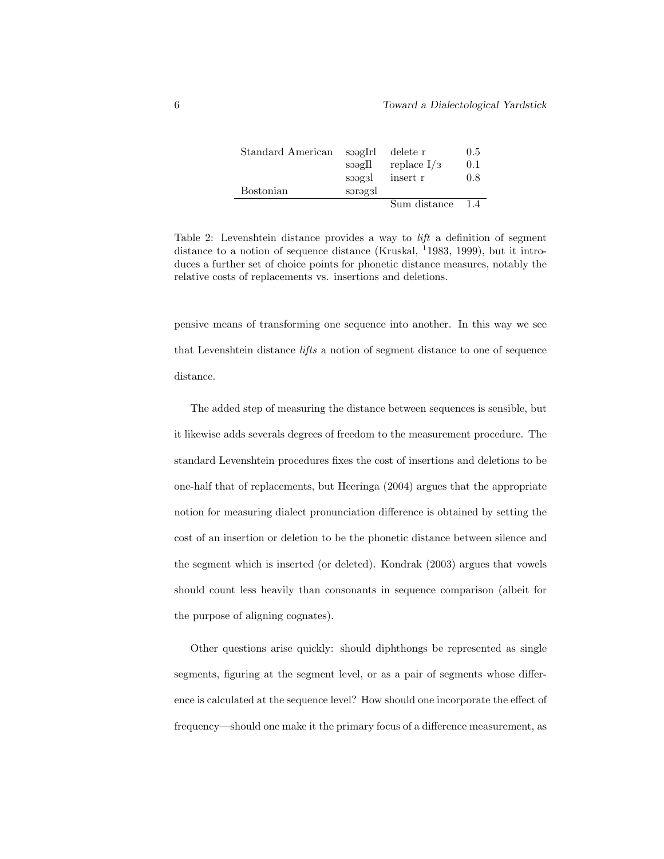| Standard American | soagIrl<br>s      | delete r<br>replace $I/3$ | 0.5<br>0.1 |
|-------------------|-------------------|---------------------------|------------|
| <b>Bostonian</b>  | soagsl<br>sorəgal | insert r                  | 0.8        |
|                   |                   | Sum distance              | 14         |

Table 2: Levenshtein distance provides a way to lift a definition of segment distance to a notion of sequence distance (Kruskal, <sup>1</sup>1983, 1999), but it introduces a further set of choice points for phonetic distance measures, notably the relative costs of replacements vs. insertions and deletions.

pensive means of transforming one sequence into another. In this way we see that Levenshtein distance lifts a notion of segment distance to one of sequence distance.

The added step of measuring the distance between sequences is sensible, but it likewise adds severals degrees of freedom to the measurement procedure. The standard Levenshtein procedures fixes the cost of insertions and deletions to be one-half that of replacements, but Heeringa (2004) argues that the appropriate notion for measuring dialect pronunciation difference is obtained by setting the cost of an insertion or deletion to be the phonetic distance between silence and the segment which is inserted (or deleted). Kondrak (2003) argues that vowels should count less heavily than consonants in sequence comparison (albeit for the purpose of aligning cognates).

Other questions arise quickly: should diphthongs be represented as single segments, figuring at the segment level, or as a pair of segments whose difference is calculated at the sequence level? How should one incorporate the effect of frequency—should one make it the primary focus of a difference measurement, as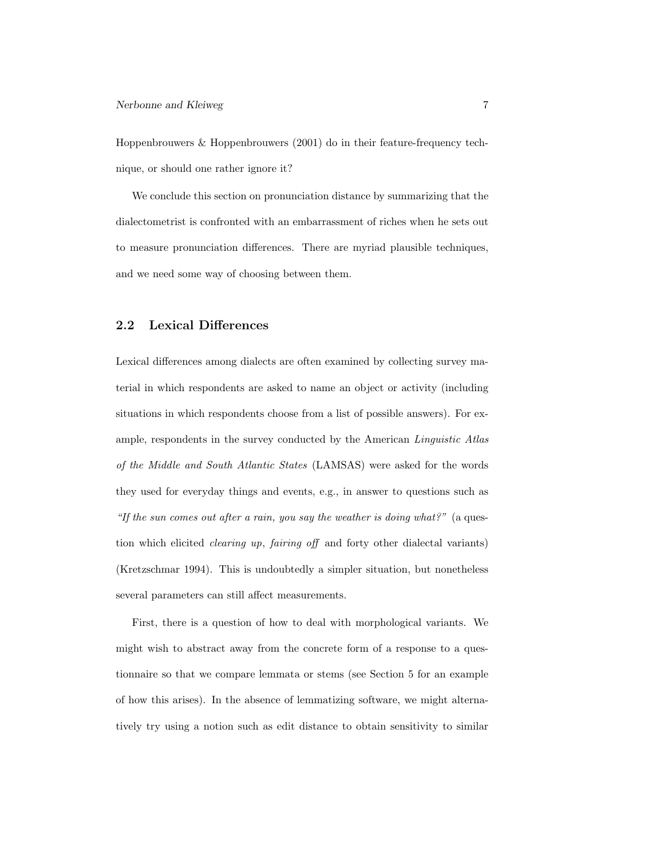Hoppenbrouwers & Hoppenbrouwers (2001) do in their feature-frequency technique, or should one rather ignore it?

We conclude this section on pronunciation distance by summarizing that the dialectometrist is confronted with an embarrassment of riches when he sets out to measure pronunciation differences. There are myriad plausible techniques, and we need some way of choosing between them.

#### 2.2 Lexical Differences

Lexical differences among dialects are often examined by collecting survey material in which respondents are asked to name an object or activity (including situations in which respondents choose from a list of possible answers). For example, respondents in the survey conducted by the American Linguistic Atlas of the Middle and South Atlantic States (LAMSAS) were asked for the words they used for everyday things and events, e.g., in answer to questions such as "If the sun comes out after a rain, you say the weather is doing what?" (a question which elicited clearing up, fairing off and forty other dialectal variants) (Kretzschmar 1994). This is undoubtedly a simpler situation, but nonetheless several parameters can still affect measurements.

First, there is a question of how to deal with morphological variants. We might wish to abstract away from the concrete form of a response to a questionnaire so that we compare lemmata or stems (see Section 5 for an example of how this arises). In the absence of lemmatizing software, we might alternatively try using a notion such as edit distance to obtain sensitivity to similar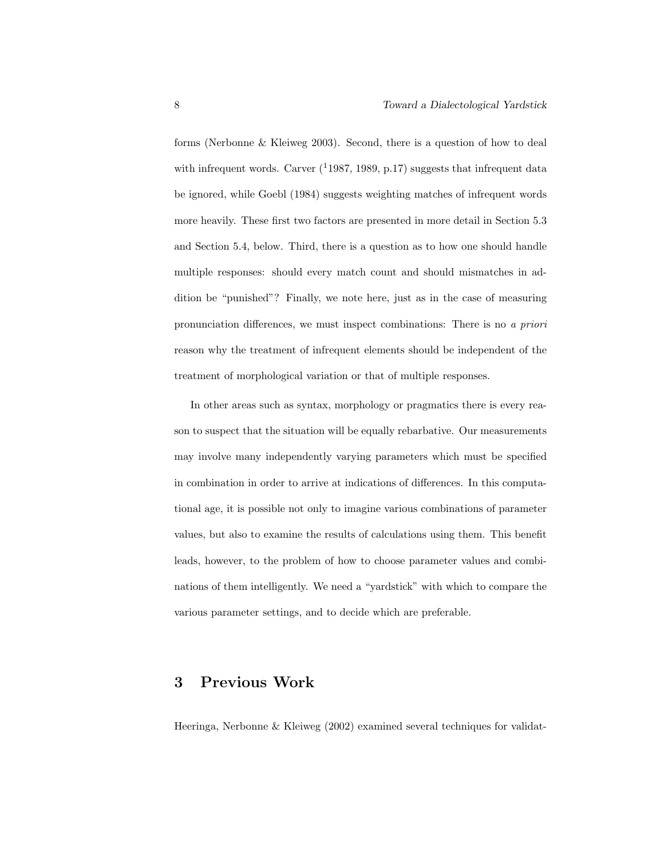forms (Nerbonne & Kleiweg 2003). Second, there is a question of how to deal with infrequent words. Carver  $(11987, 1989, p.17)$  suggests that infrequent data be ignored, while Goebl (1984) suggests weighting matches of infrequent words more heavily. These first two factors are presented in more detail in Section 5.3 and Section 5.4, below. Third, there is a question as to how one should handle multiple responses: should every match count and should mismatches in addition be "punished"? Finally, we note here, just as in the case of measuring pronunciation differences, we must inspect combinations: There is no a priori reason why the treatment of infrequent elements should be independent of the treatment of morphological variation or that of multiple responses.

In other areas such as syntax, morphology or pragmatics there is every reason to suspect that the situation will be equally rebarbative. Our measurements may involve many independently varying parameters which must be specified in combination in order to arrive at indications of differences. In this computational age, it is possible not only to imagine various combinations of parameter values, but also to examine the results of calculations using them. This benefit leads, however, to the problem of how to choose parameter values and combinations of them intelligently. We need a "yardstick" with which to compare the various parameter settings, and to decide which are preferable.

# 3 Previous Work

Heeringa, Nerbonne & Kleiweg (2002) examined several techniques for validat-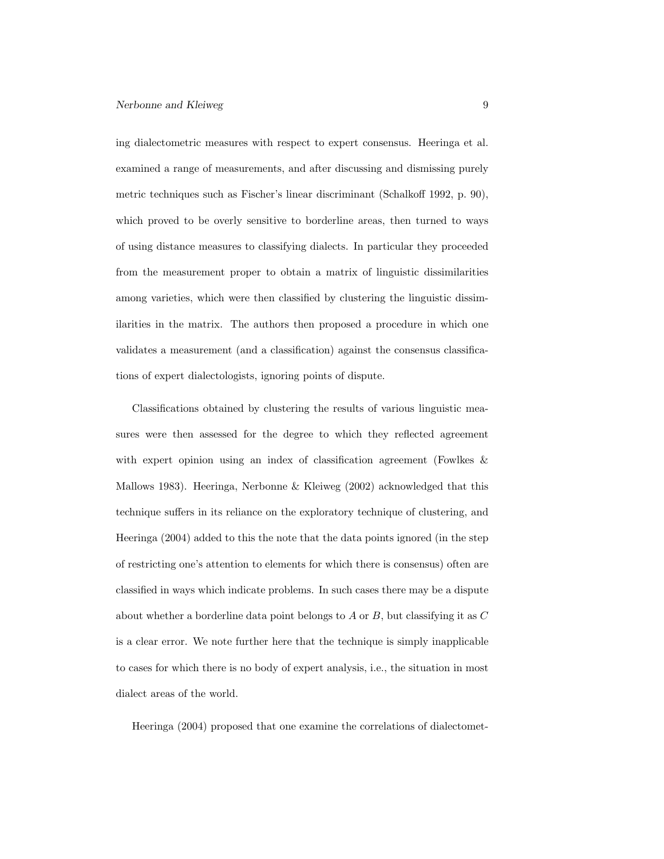ing dialectometric measures with respect to expert consensus. Heeringa et al. examined a range of measurements, and after discussing and dismissing purely metric techniques such as Fischer's linear discriminant (Schalkoff 1992, p. 90), which proved to be overly sensitive to borderline areas, then turned to ways of using distance measures to classifying dialects. In particular they proceeded from the measurement proper to obtain a matrix of linguistic dissimilarities among varieties, which were then classified by clustering the linguistic dissimilarities in the matrix. The authors then proposed a procedure in which one validates a measurement (and a classification) against the consensus classifications of expert dialectologists, ignoring points of dispute.

Classifications obtained by clustering the results of various linguistic measures were then assessed for the degree to which they reflected agreement with expert opinion using an index of classification agreement (Fowlkes & Mallows 1983). Heeringa, Nerbonne & Kleiweg (2002) acknowledged that this technique suffers in its reliance on the exploratory technique of clustering, and Heeringa (2004) added to this the note that the data points ignored (in the step of restricting one's attention to elements for which there is consensus) often are classified in ways which indicate problems. In such cases there may be a dispute about whether a borderline data point belongs to A or B, but classifying it as  $C$ is a clear error. We note further here that the technique is simply inapplicable to cases for which there is no body of expert analysis, i.e., the situation in most dialect areas of the world.

Heeringa (2004) proposed that one examine the correlations of dialectomet-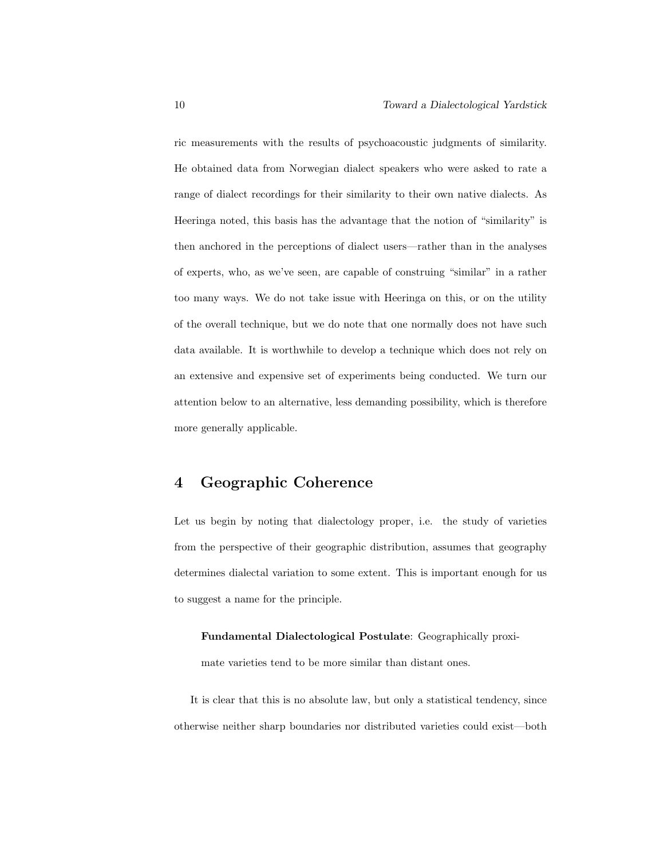ric measurements with the results of psychoacoustic judgments of similarity. He obtained data from Norwegian dialect speakers who were asked to rate a range of dialect recordings for their similarity to their own native dialects. As Heeringa noted, this basis has the advantage that the notion of "similarity" is then anchored in the perceptions of dialect users—rather than in the analyses of experts, who, as we've seen, are capable of construing "similar" in a rather too many ways. We do not take issue with Heeringa on this, or on the utility of the overall technique, but we do note that one normally does not have such data available. It is worthwhile to develop a technique which does not rely on an extensive and expensive set of experiments being conducted. We turn our attention below to an alternative, less demanding possibility, which is therefore more generally applicable.

# 4 Geographic Coherence

Let us begin by noting that dialectology proper, i.e. the study of varieties from the perspective of their geographic distribution, assumes that geography determines dialectal variation to some extent. This is important enough for us to suggest a name for the principle.

Fundamental Dialectological Postulate: Geographically proxi-

mate varieties tend to be more similar than distant ones.

It is clear that this is no absolute law, but only a statistical tendency, since otherwise neither sharp boundaries nor distributed varieties could exist—both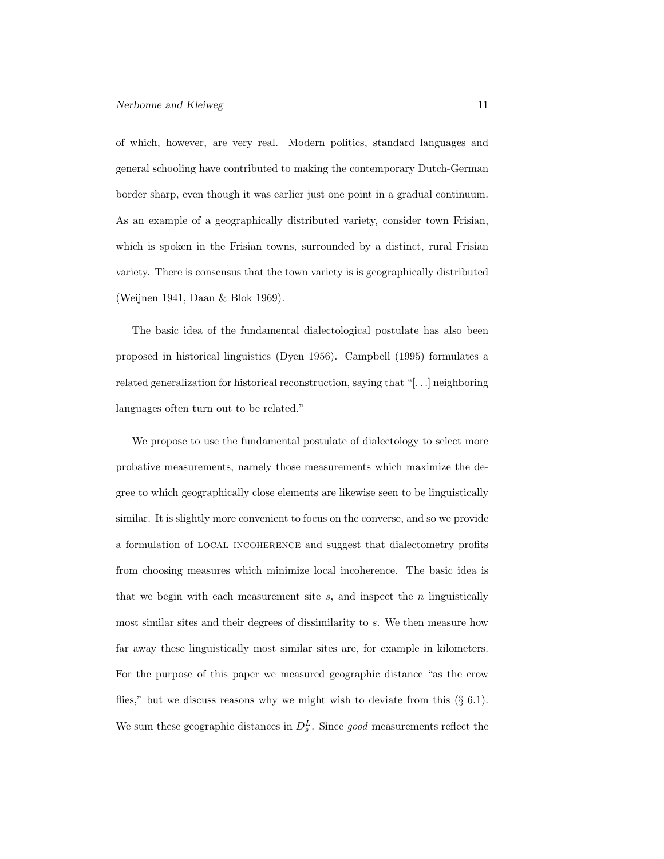of which, however, are very real. Modern politics, standard languages and general schooling have contributed to making the contemporary Dutch-German border sharp, even though it was earlier just one point in a gradual continuum. As an example of a geographically distributed variety, consider town Frisian, which is spoken in the Frisian towns, surrounded by a distinct, rural Frisian variety. There is consensus that the town variety is is geographically distributed (Weijnen 1941, Daan & Blok 1969).

The basic idea of the fundamental dialectological postulate has also been proposed in historical linguistics (Dyen 1956). Campbell (1995) formulates a related generalization for historical reconstruction, saying that "[. . .] neighboring languages often turn out to be related."

We propose to use the fundamental postulate of dialectology to select more probative measurements, namely those measurements which maximize the degree to which geographically close elements are likewise seen to be linguistically similar. It is slightly more convenient to focus on the converse, and so we provide a formulation of local incoherence and suggest that dialectometry profits from choosing measures which minimize local incoherence. The basic idea is that we begin with each measurement site  $s$ , and inspect the  $n$  linguistically most similar sites and their degrees of dissimilarity to s. We then measure how far away these linguistically most similar sites are, for example in kilometers. For the purpose of this paper we measured geographic distance "as the crow flies," but we discuss reasons why we might wish to deviate from this  $(\S$  6.1). We sum these geographic distances in  $D_s^L$ . Since good measurements reflect the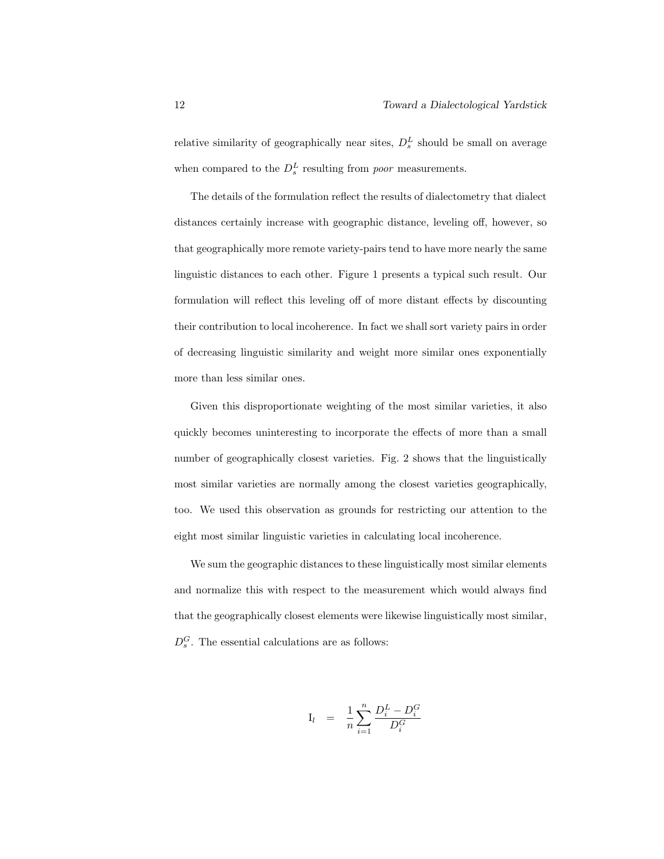relative similarity of geographically near sites,  $D_s^L$  should be small on average when compared to the  $D_s^L$  resulting from *poor* measurements.

The details of the formulation reflect the results of dialectometry that dialect distances certainly increase with geographic distance, leveling off, however, so that geographically more remote variety-pairs tend to have more nearly the same linguistic distances to each other. Figure 1 presents a typical such result. Our formulation will reflect this leveling off of more distant effects by discounting their contribution to local incoherence. In fact we shall sort variety pairs in order of decreasing linguistic similarity and weight more similar ones exponentially more than less similar ones.

Given this disproportionate weighting of the most similar varieties, it also quickly becomes uninteresting to incorporate the effects of more than a small number of geographically closest varieties. Fig. 2 shows that the linguistically most similar varieties are normally among the closest varieties geographically, too. We used this observation as grounds for restricting our attention to the eight most similar linguistic varieties in calculating local incoherence.

We sum the geographic distances to these linguistically most similar elements and normalize this with respect to the measurement which would always find that the geographically closest elements were likewise linguistically most similar,  $D_s^G$ . The essential calculations are as follows:

$$
\mathbf{I}_l \quad = \quad \frac{1}{n} \sum_{i=1}^n \frac{D_i^L - D_i^G}{D_i^G}
$$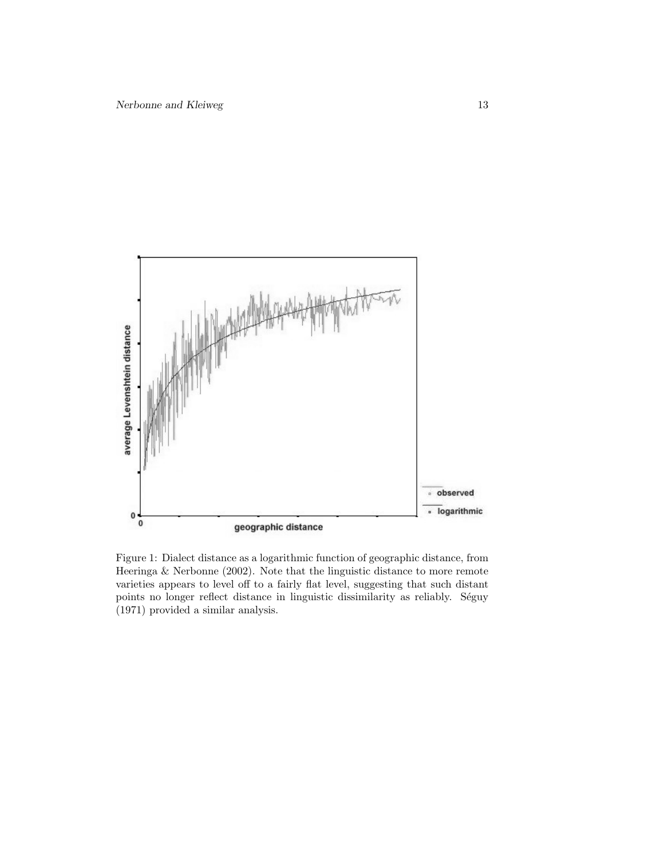

Figure 1: Dialect distance as a logarithmic function of geographic distance, from Heeringa & Nerbonne (2002). Note that the linguistic distance to more remote varieties appears to level off to a fairly flat level, suggesting that such distant points no longer reflect distance in linguistic dissimilarity as reliably. Séguy (1971) provided a similar analysis.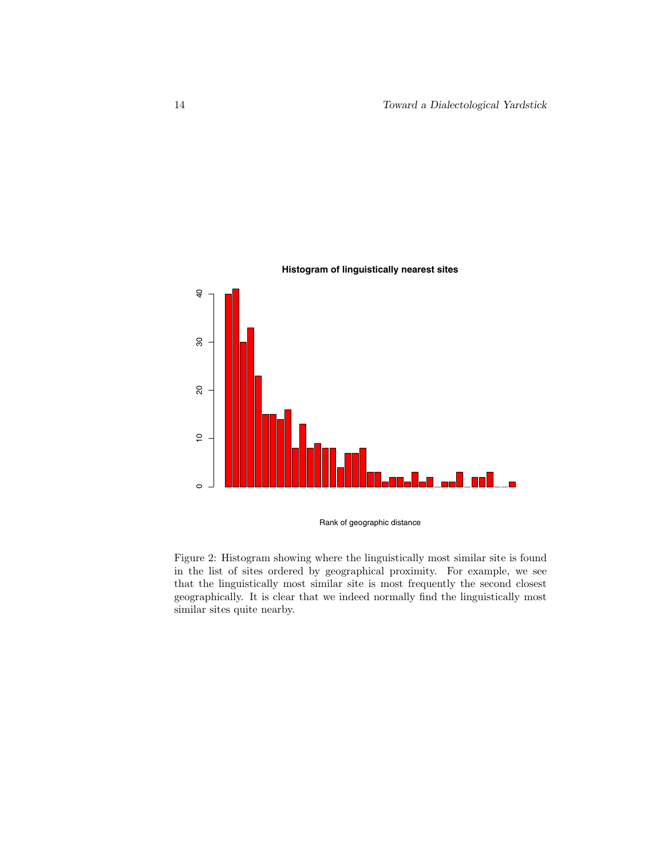

Rank of geographic distance

Figure 2: Histogram showing where the linguistically most similar site is found in the list of sites ordered by geographical proximity. For example, we see that the linguistically most similar site is most frequently the second closest geographically. It is clear that we indeed normally find the linguistically most similar sites quite nearby.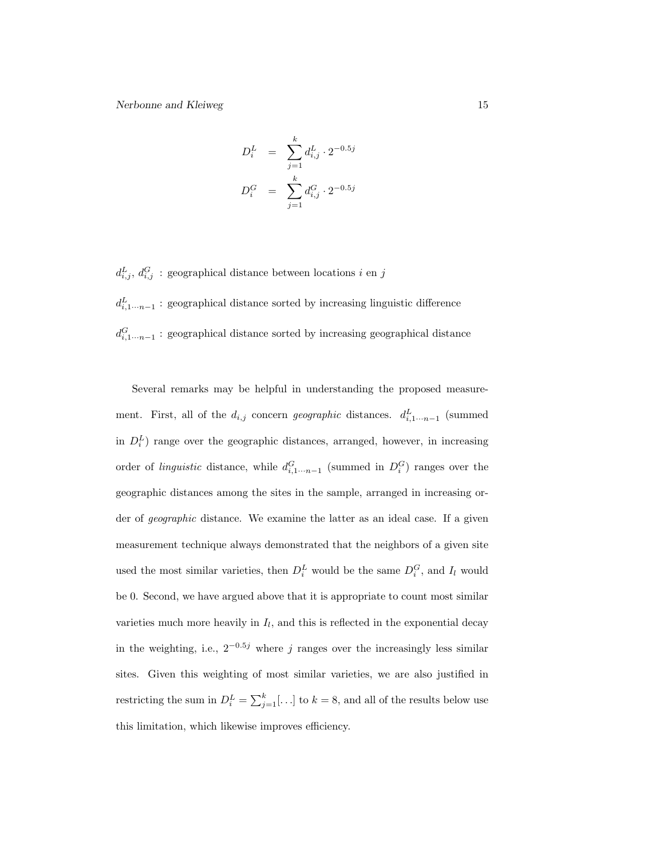$$
D_i^L = \sum_{j=1}^k d_{i,j}^L \cdot 2^{-0.5j}
$$
  

$$
D_i^G = \sum_{j=1}^k d_{i,j}^G \cdot 2^{-0.5j}
$$

 $d_{i,j}^L$ ,  $d_{i,j}^G$ : geographical distance between locations *i* en *j*  $d_{i,1\cdots n-1}^L$ : geographical distance sorted by increasing linguistic difference  $d_{i,1\cdots n-1}^G$ : geographical distance sorted by increasing geographical distance

Several remarks may be helpful in understanding the proposed measurement. First, all of the  $d_{i,j}$  concern geographic distances.  $d_{i,1\cdots n-1}^{L}$  (summed in  $D_i^L$ ) range over the geographic distances, arranged, however, in increasing order of *linguistic* distance, while  $d_{i,1\cdots n-1}^G$  (summed in  $D_i^G$ ) ranges over the geographic distances among the sites in the sample, arranged in increasing order of geographic distance. We examine the latter as an ideal case. If a given measurement technique always demonstrated that the neighbors of a given site used the most similar varieties, then  $D_i^L$  would be the same  $D_i^G$ , and  $I_l$  would be 0. Second, we have argued above that it is appropriate to count most similar varieties much more heavily in  $I_l$ , and this is reflected in the exponential decay in the weighting, i.e.,  $2^{-0.5j}$  where j ranges over the increasingly less similar sites. Given this weighting of most similar varieties, we are also justified in restricting the sum in  $D_i^L = \sum_{j=1}^k [\ldots]$  to  $k = 8$ , and all of the results below use this limitation, which likewise improves efficiency.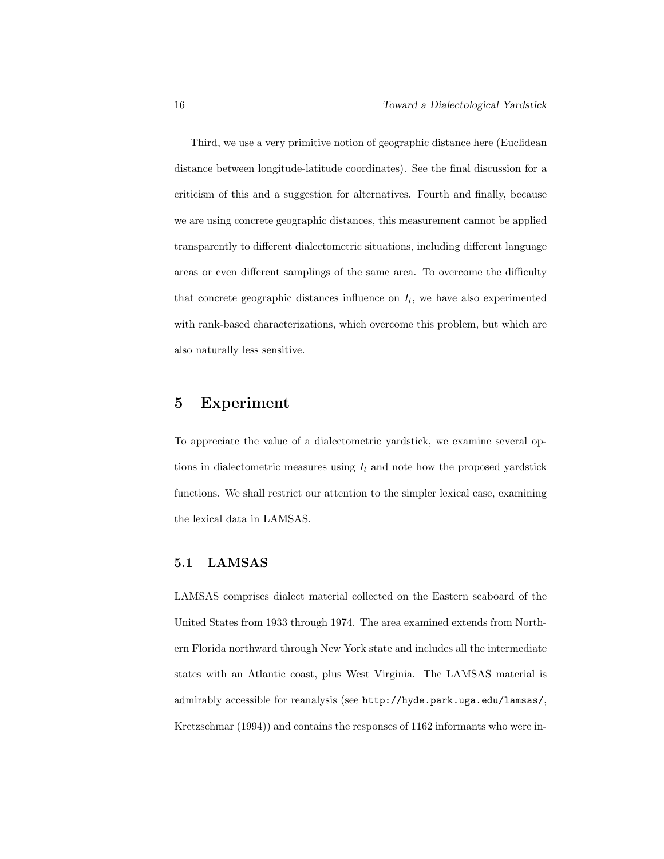Third, we use a very primitive notion of geographic distance here (Euclidean distance between longitude-latitude coordinates). See the final discussion for a criticism of this and a suggestion for alternatives. Fourth and finally, because we are using concrete geographic distances, this measurement cannot be applied transparently to different dialectometric situations, including different language areas or even different samplings of the same area. To overcome the difficulty that concrete geographic distances influence on  $I_l$ , we have also experimented with rank-based characterizations, which overcome this problem, but which are also naturally less sensitive.

## 5 Experiment

To appreciate the value of a dialectometric yardstick, we examine several options in dialectometric measures using  $I_l$  and note how the proposed yardstick functions. We shall restrict our attention to the simpler lexical case, examining the lexical data in LAMSAS.

### 5.1 LAMSAS

LAMSAS comprises dialect material collected on the Eastern seaboard of the United States from 1933 through 1974. The area examined extends from Northern Florida northward through New York state and includes all the intermediate states with an Atlantic coast, plus West Virginia. The LAMSAS material is admirably accessible for reanalysis (see http://hyde.park.uga.edu/lamsas/, Kretzschmar (1994)) and contains the responses of 1162 informants who were in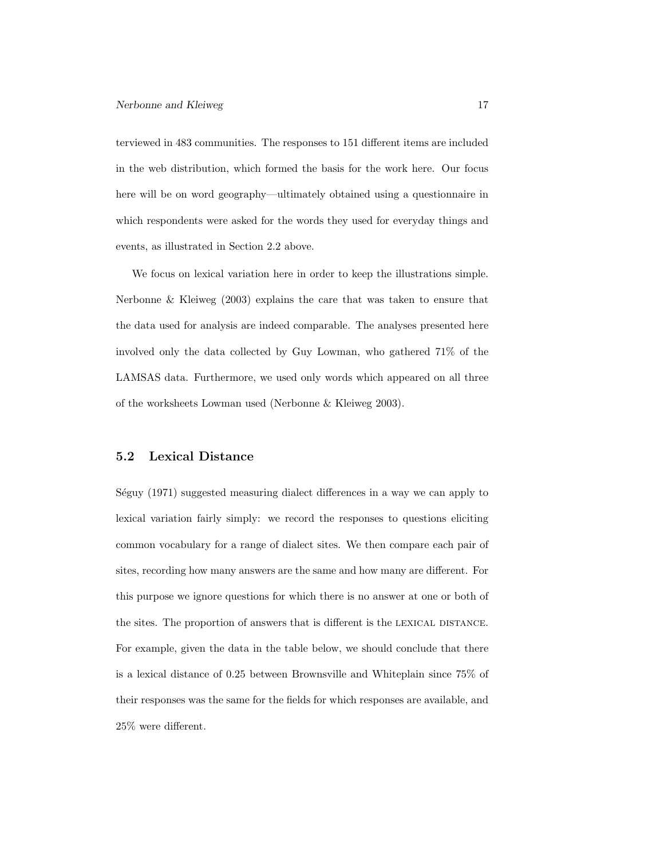terviewed in 483 communities. The responses to 151 different items are included in the web distribution, which formed the basis for the work here. Our focus here will be on word geography—ultimately obtained using a questionnaire in which respondents were asked for the words they used for everyday things and events, as illustrated in Section 2.2 above.

We focus on lexical variation here in order to keep the illustrations simple. Nerbonne & Kleiweg (2003) explains the care that was taken to ensure that the data used for analysis are indeed comparable. The analyses presented here involved only the data collected by Guy Lowman, who gathered 71% of the LAMSAS data. Furthermore, we used only words which appeared on all three of the worksheets Lowman used (Nerbonne & Kleiweg 2003).

#### 5.2 Lexical Distance

Séguy (1971) suggested measuring dialect differences in a way we can apply to lexical variation fairly simply: we record the responses to questions eliciting common vocabulary for a range of dialect sites. We then compare each pair of sites, recording how many answers are the same and how many are different. For this purpose we ignore questions for which there is no answer at one or both of the sites. The proportion of answers that is different is the LEXICAL DISTANCE. For example, given the data in the table below, we should conclude that there is a lexical distance of 0.25 between Brownsville and Whiteplain since 75% of their responses was the same for the fields for which responses are available, and 25% were different.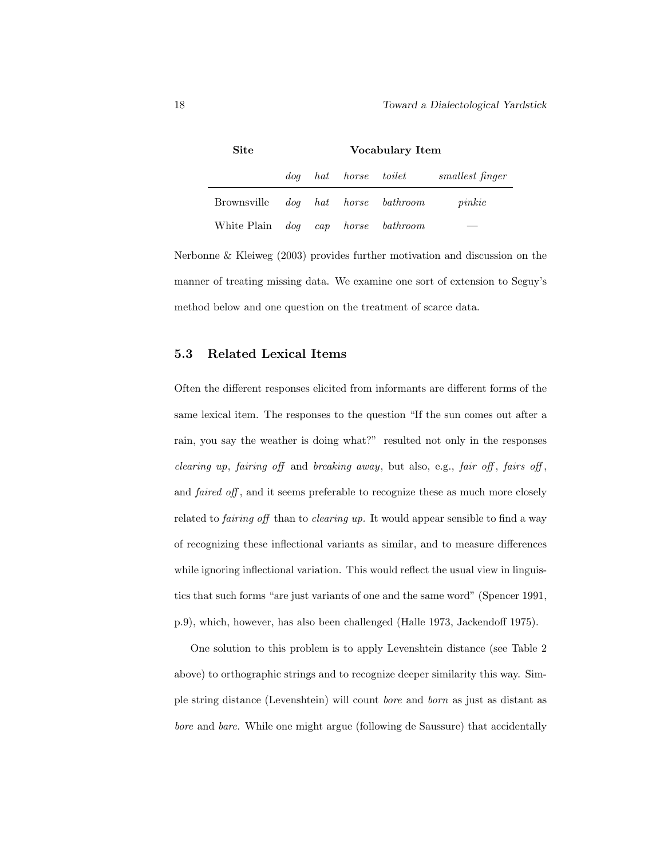| <b>Site</b>                               | Vocabulary Item |  |  |                      |                 |
|-------------------------------------------|-----------------|--|--|----------------------|-----------------|
|                                           |                 |  |  | dog hat horse toilet | smallest finger |
| Brownsville <i>dog</i> hat horse bathroom |                 |  |  |                      | pinkie          |
| White Plain dog cap horse bathroom        |                 |  |  |                      |                 |

Nerbonne & Kleiweg (2003) provides further motivation and discussion on the manner of treating missing data. We examine one sort of extension to Seguy's method below and one question on the treatment of scarce data.

#### 5.3 Related Lexical Items

Often the different responses elicited from informants are different forms of the same lexical item. The responses to the question "If the sun comes out after a rain, you say the weather is doing what?" resulted not only in the responses *clearing up, fairing off and breaking away, but also, e.g., fair off, fairs off,* and *faired off*, and it seems preferable to recognize these as much more closely related to *fairing off* than to *clearing up*. It would appear sensible to find a way of recognizing these inflectional variants as similar, and to measure differences while ignoring inflectional variation. This would reflect the usual view in linguistics that such forms "are just variants of one and the same word" (Spencer 1991, p.9), which, however, has also been challenged (Halle 1973, Jackendoff 1975).

One solution to this problem is to apply Levenshtein distance (see Table 2 above) to orthographic strings and to recognize deeper similarity this way. Simple string distance (Levenshtein) will count bore and born as just as distant as bore and bare. While one might argue (following de Saussure) that accidentally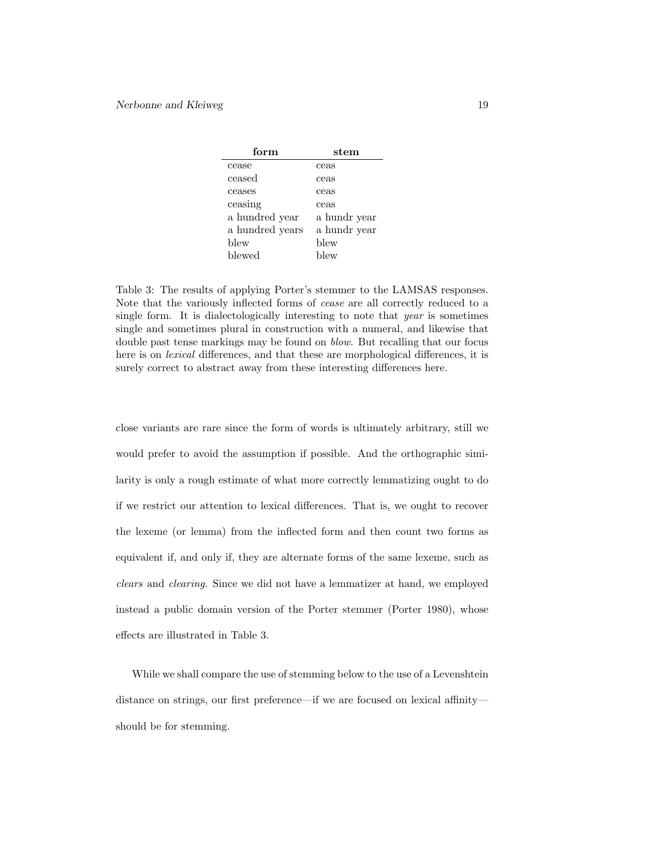| form            | stem         |
|-----------------|--------------|
| cease           | ceas         |
| ceased          | ceas         |
| ceases          | ceas         |
| ceasing         | ceas         |
| a hundred year  | a hundr year |
| a hundred years | a hundr year |
| blew            | blew         |
| blewed          | blew         |

Table 3: The results of applying Porter's stemmer to the LAMSAS responses. Note that the variously inflected forms of cease are all correctly reduced to a single form. It is dialectologically interesting to note that year is sometimes single and sometimes plural in construction with a numeral, and likewise that double past tense markings may be found on blow. But recalling that our focus here is on lexical differences, and that these are morphological differences, it is surely correct to abstract away from these interesting differences here.

close variants are rare since the form of words is ultimately arbitrary, still we would prefer to avoid the assumption if possible. And the orthographic similarity is only a rough estimate of what more correctly lemmatizing ought to do if we restrict our attention to lexical differences. That is, we ought to recover the lexeme (or lemma) from the inflected form and then count two forms as equivalent if, and only if, they are alternate forms of the same lexeme, such as clears and clearing. Since we did not have a lemmatizer at hand, we employed instead a public domain version of the Porter stemmer (Porter 1980), whose effects are illustrated in Table 3.

While we shall compare the use of stemming below to the use of a Levenshtein distance on strings, our first preference—if we are focused on lexical affinity should be for stemming.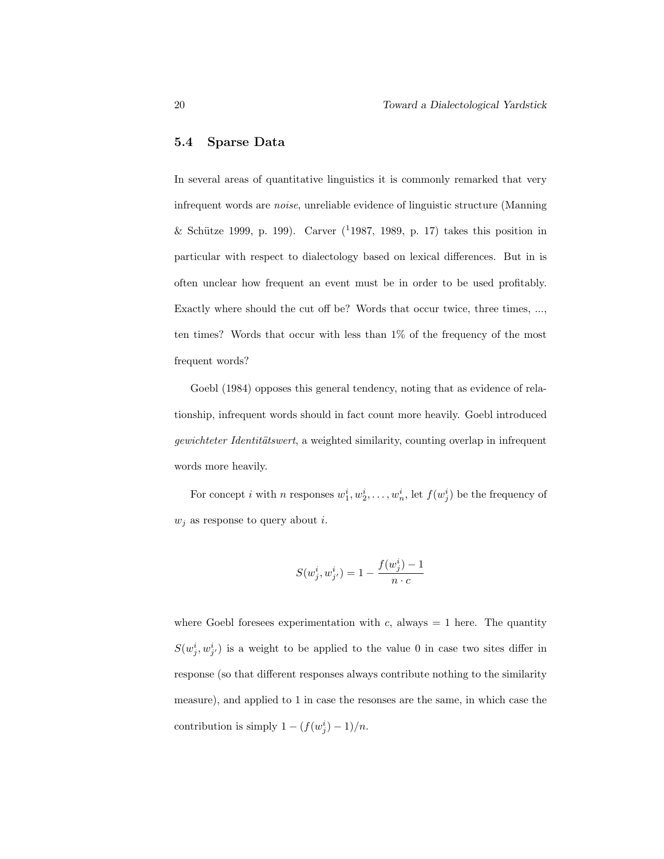#### 5.4 Sparse Data

In several areas of quantitative linguistics it is commonly remarked that very infrequent words are noise, unreliable evidence of linguistic structure (Manning & Schütze 1999, p. 199). Carver  $(^{1}1987, 1989, p. 17)$  takes this position in particular with respect to dialectology based on lexical differences. But in is often unclear how frequent an event must be in order to be used profitably. Exactly where should the cut off be? Words that occur twice, three times, ..., ten times? Words that occur with less than 1% of the frequency of the most frequent words?

Goebl (1984) opposes this general tendency, noting that as evidence of relationship, infrequent words should in fact count more heavily. Goebl introduced gewichteter Identitätswert, a weighted similarity, counting overlap in infrequent words more heavily.

For concept *i* with *n* responses  $w_1^i, w_2^i, \ldots, w_n^i$ , let  $f(w_j^i)$  be the frequency of  $w_i$  as response to query about i.

$$
S(w^i_j, w^i_{j'}) = 1 - \frac{f(w^i_j) - 1}{n \cdot c}
$$

where Goebl foresees experimentation with c, always  $= 1$  here. The quantity  $S(w_j^i, w_{j'}^i)$  is a weight to be applied to the value 0 in case two sites differ in response (so that different responses always contribute nothing to the similarity measure), and applied to 1 in case the resonses are the same, in which case the contribution is simply  $1 - (f(w_j^i) - 1)/n$ .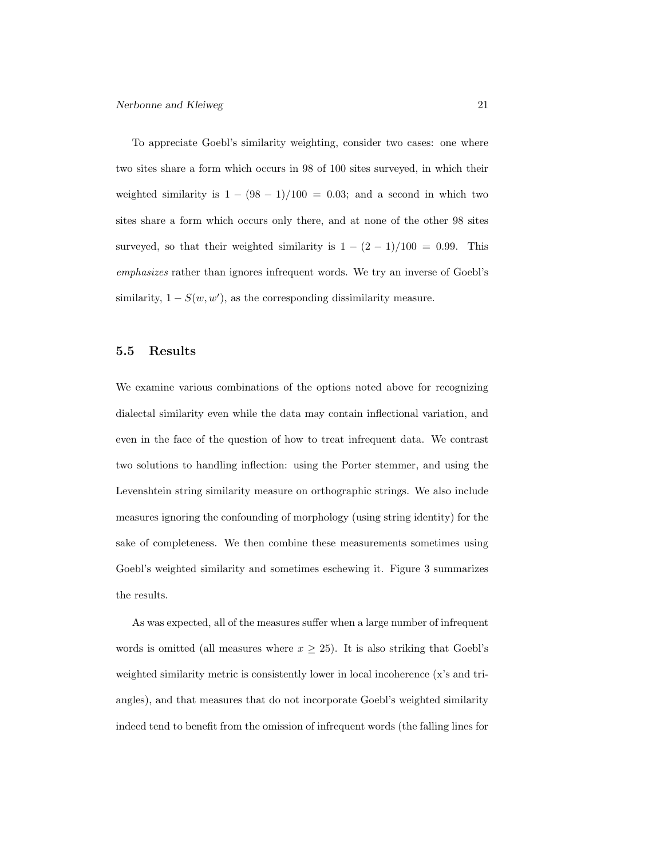To appreciate Goebl's similarity weighting, consider two cases: one where two sites share a form which occurs in 98 of 100 sites surveyed, in which their weighted similarity is  $1 - (98 - 1)/100 = 0.03$ ; and a second in which two sites share a form which occurs only there, and at none of the other 98 sites surveyed, so that their weighted similarity is  $1 - (2 - 1)/100 = 0.99$ . This emphasizes rather than ignores infrequent words. We try an inverse of Goebl's similarity,  $1 - S(w, w')$ , as the corresponding dissimilarity measure.

#### 5.5 Results

We examine various combinations of the options noted above for recognizing dialectal similarity even while the data may contain inflectional variation, and even in the face of the question of how to treat infrequent data. We contrast two solutions to handling inflection: using the Porter stemmer, and using the Levenshtein string similarity measure on orthographic strings. We also include measures ignoring the confounding of morphology (using string identity) for the sake of completeness. We then combine these measurements sometimes using Goebl's weighted similarity and sometimes eschewing it. Figure 3 summarizes the results.

As was expected, all of the measures suffer when a large number of infrequent words is omitted (all measures where  $x \geq 25$ ). It is also striking that Goebl's weighted similarity metric is consistently lower in local incoherence (x's and triangles), and that measures that do not incorporate Goebl's weighted similarity indeed tend to benefit from the omission of infrequent words (the falling lines for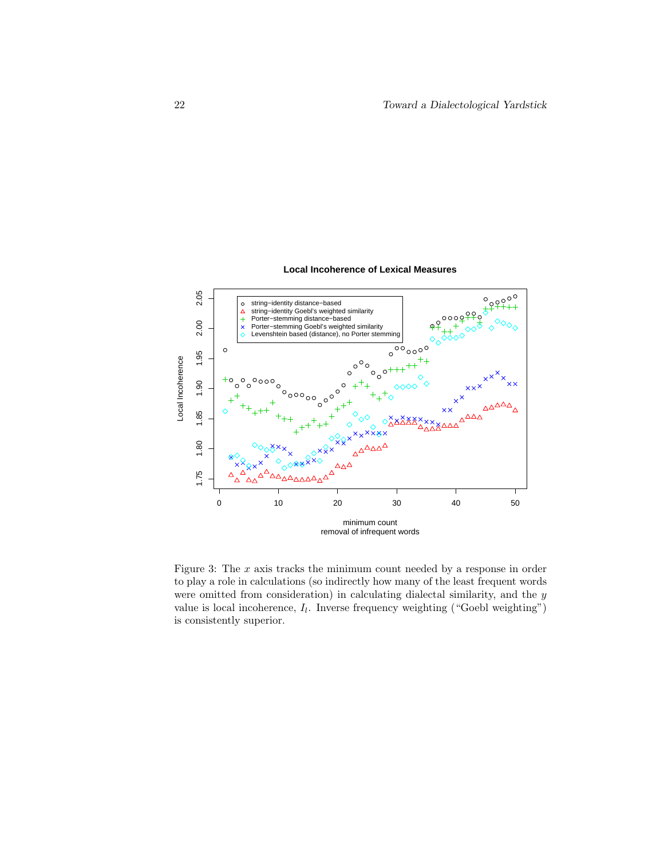#### **Local Incoherence of Lexical Measures**



Figure 3: The  $x$  axis tracks the minimum count needed by a response in order to play a role in calculations (so indirectly how many of the least frequent words were omitted from consideration) in calculating dialectal similarity, and the y value is local incoherence,  $I_l$ . Inverse frequency weighting ("Goebl weighting") is consistently superior.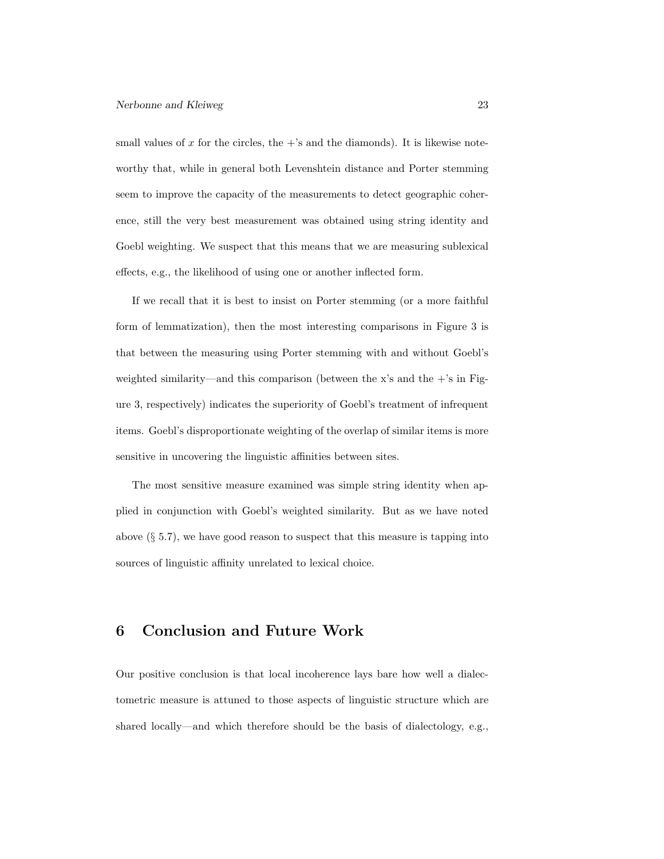small values of x for the circles, the  $+$ 's and the diamonds). It is likewise noteworthy that, while in general both Levenshtein distance and Porter stemming seem to improve the capacity of the measurements to detect geographic coherence, still the very best measurement was obtained using string identity and Goebl weighting. We suspect that this means that we are measuring sublexical effects, e.g., the likelihood of using one or another inflected form.

If we recall that it is best to insist on Porter stemming (or a more faithful form of lemmatization), then the most interesting comparisons in Figure 3 is that between the measuring using Porter stemming with and without Goebl's weighted similarity—and this comparison (between the x's and the  $+$ 's in Figure 3, respectively) indicates the superiority of Goebl's treatment of infrequent items. Goebl's disproportionate weighting of the overlap of similar items is more sensitive in uncovering the linguistic affinities between sites.

The most sensitive measure examined was simple string identity when applied in conjunction with Goebl's weighted similarity. But as we have noted above  $(\S 5.7)$ , we have good reason to suspect that this measure is tapping into sources of linguistic affinity unrelated to lexical choice.

### 6 Conclusion and Future Work

Our positive conclusion is that local incoherence lays bare how well a dialectometric measure is attuned to those aspects of linguistic structure which are shared locally—and which therefore should be the basis of dialectology, e.g.,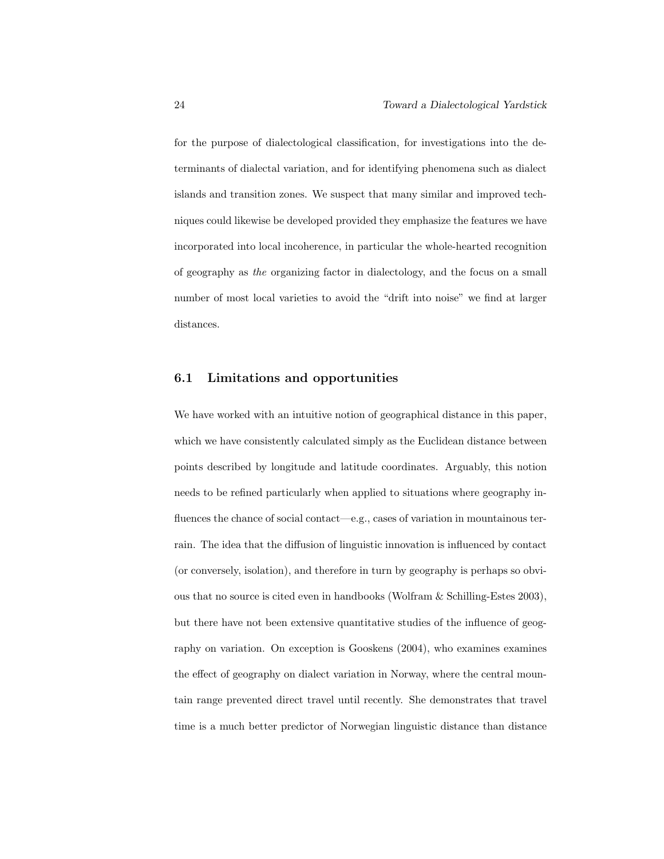for the purpose of dialectological classification, for investigations into the determinants of dialectal variation, and for identifying phenomena such as dialect islands and transition zones. We suspect that many similar and improved techniques could likewise be developed provided they emphasize the features we have incorporated into local incoherence, in particular the whole-hearted recognition of geography as the organizing factor in dialectology, and the focus on a small number of most local varieties to avoid the "drift into noise" we find at larger distances.

#### 6.1 Limitations and opportunities

We have worked with an intuitive notion of geographical distance in this paper, which we have consistently calculated simply as the Euclidean distance between points described by longitude and latitude coordinates. Arguably, this notion needs to be refined particularly when applied to situations where geography influences the chance of social contact—e.g., cases of variation in mountainous terrain. The idea that the diffusion of linguistic innovation is influenced by contact (or conversely, isolation), and therefore in turn by geography is perhaps so obvious that no source is cited even in handbooks (Wolfram & Schilling-Estes 2003), but there have not been extensive quantitative studies of the influence of geography on variation. On exception is Gooskens (2004), who examines examines the effect of geography on dialect variation in Norway, where the central mountain range prevented direct travel until recently. She demonstrates that travel time is a much better predictor of Norwegian linguistic distance than distance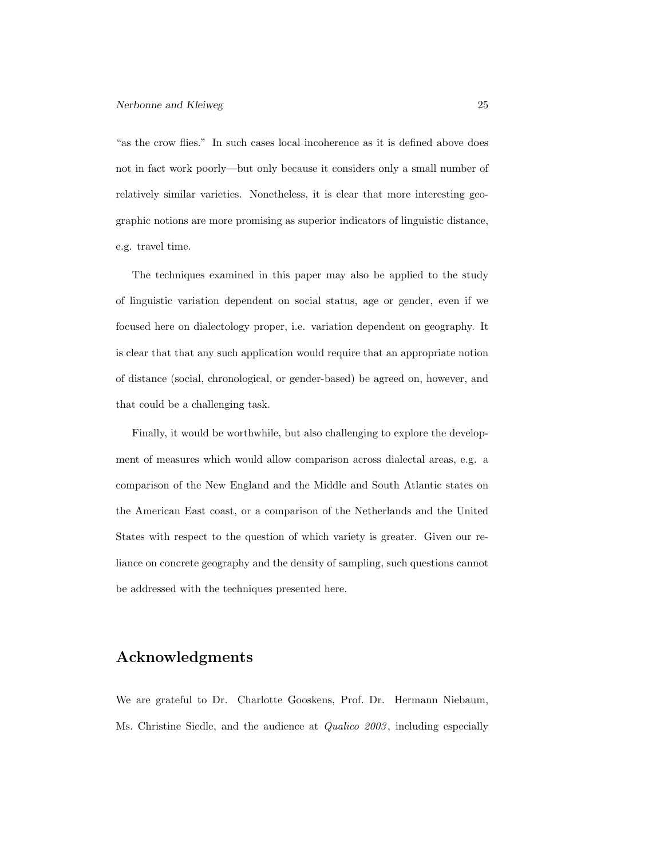"as the crow flies." In such cases local incoherence as it is defined above does not in fact work poorly—but only because it considers only a small number of relatively similar varieties. Nonetheless, it is clear that more interesting geographic notions are more promising as superior indicators of linguistic distance, e.g. travel time.

The techniques examined in this paper may also be applied to the study of linguistic variation dependent on social status, age or gender, even if we focused here on dialectology proper, i.e. variation dependent on geography. It is clear that that any such application would require that an appropriate notion of distance (social, chronological, or gender-based) be agreed on, however, and that could be a challenging task.

Finally, it would be worthwhile, but also challenging to explore the development of measures which would allow comparison across dialectal areas, e.g. a comparison of the New England and the Middle and South Atlantic states on the American East coast, or a comparison of the Netherlands and the United States with respect to the question of which variety is greater. Given our reliance on concrete geography and the density of sampling, such questions cannot be addressed with the techniques presented here.

### Acknowledgments

We are grateful to Dr. Charlotte Gooskens, Prof. Dr. Hermann Niebaum, Ms. Christine Siedle, and the audience at *Qualico 2003*, including especially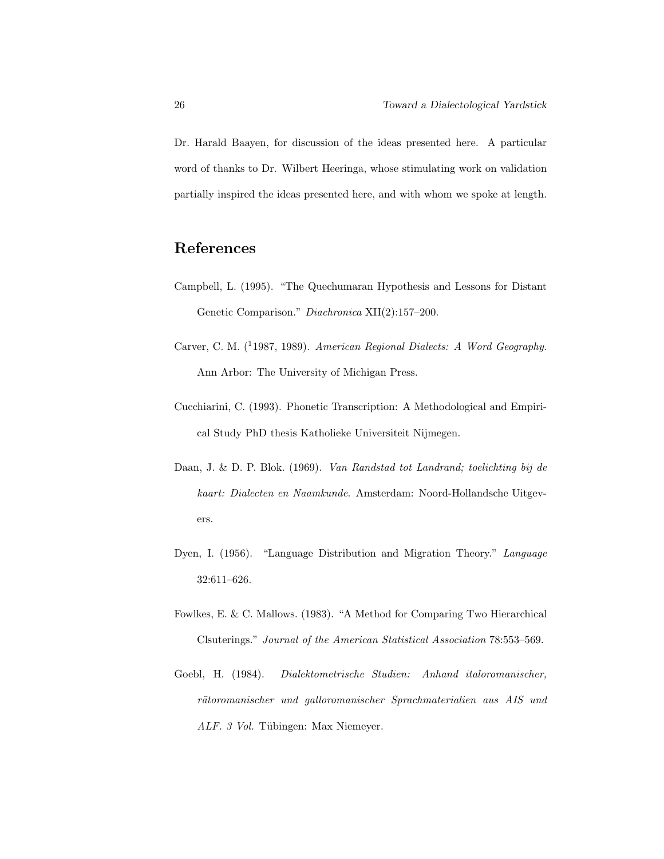Dr. Harald Baayen, for discussion of the ideas presented here. A particular word of thanks to Dr. Wilbert Heeringa, whose stimulating work on validation partially inspired the ideas presented here, and with whom we spoke at length.

# References

- Campbell, L. (1995). "The Quechumaran Hypothesis and Lessons for Distant Genetic Comparison." Diachronica XII(2):157–200.
- Carver, C. M. (<sup>1</sup>1987, 1989). American Regional Dialects: A Word Geography. Ann Arbor: The University of Michigan Press.
- Cucchiarini, C. (1993). Phonetic Transcription: A Methodological and Empirical Study PhD thesis Katholieke Universiteit Nijmegen.
- Daan, J. & D. P. Blok. (1969). Van Randstad tot Landrand; toelichting bij de kaart: Dialecten en Naamkunde. Amsterdam: Noord-Hollandsche Uitgevers.
- Dyen, I. (1956). "Language Distribution and Migration Theory." Language 32:611–626.
- Fowlkes, E. & C. Mallows. (1983). "A Method for Comparing Two Hierarchical Clsuterings." Journal of the American Statistical Association 78:553–569.
- Goebl, H. (1984). Dialektometrische Studien: Anhand italoromanischer, rätoromanischer und galloromanischer Sprachmaterialien aus AIS und ALF. 3 Vol. Tübingen: Max Niemeyer.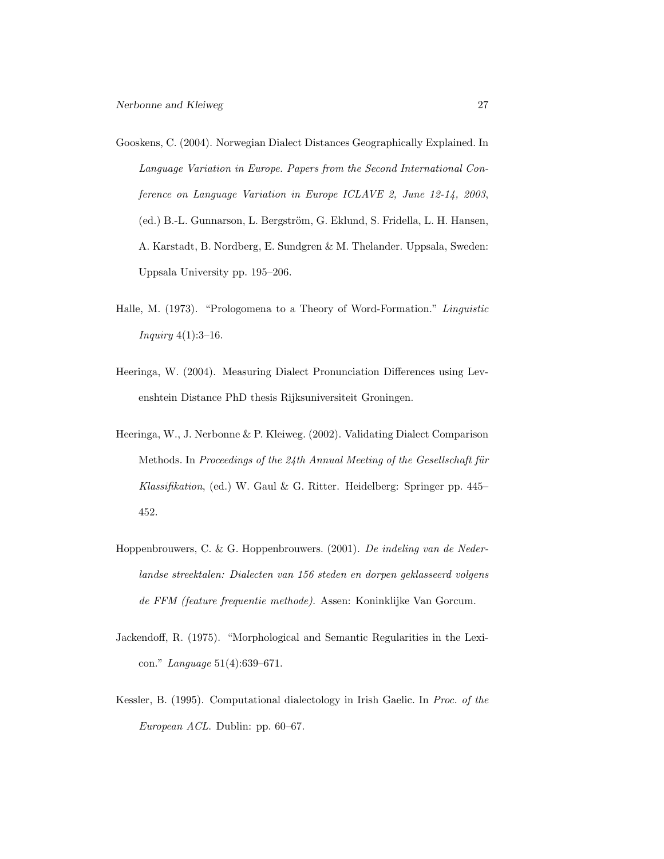- Gooskens, C. (2004). Norwegian Dialect Distances Geographically Explained. In Language Variation in Europe. Papers from the Second International Conference on Language Variation in Europe ICLAVE 2, June 12-14, 2003, (ed.) B.-L. Gunnarson, L. Bergström, G. Eklund, S. Fridella, L. H. Hansen, A. Karstadt, B. Nordberg, E. Sundgren & M. Thelander. Uppsala, Sweden: Uppsala University pp. 195–206.
- Halle, M. (1973). "Prologomena to a Theory of Word-Formation." Linguistic Inquiry 4(1):3–16.
- Heeringa, W. (2004). Measuring Dialect Pronunciation Differences using Levenshtein Distance PhD thesis Rijksuniversiteit Groningen.
- Heeringa, W., J. Nerbonne & P. Kleiweg. (2002). Validating Dialect Comparison Methods. In Proceedings of the 24th Annual Meeting of the Gesellschaft für Klassifikation, (ed.) W. Gaul & G. Ritter. Heidelberg: Springer pp. 445– 452.
- Hoppenbrouwers, C. & G. Hoppenbrouwers. (2001). De indeling van de Nederlandse streektalen: Dialecten van 156 steden en dorpen geklasseerd volgens de FFM (feature frequentie methode). Assen: Koninklijke Van Gorcum.
- Jackendoff, R. (1975). "Morphological and Semantic Regularities in the Lexicon." Language 51(4):639–671.
- Kessler, B. (1995). Computational dialectology in Irish Gaelic. In Proc. of the European ACL. Dublin: pp. 60–67.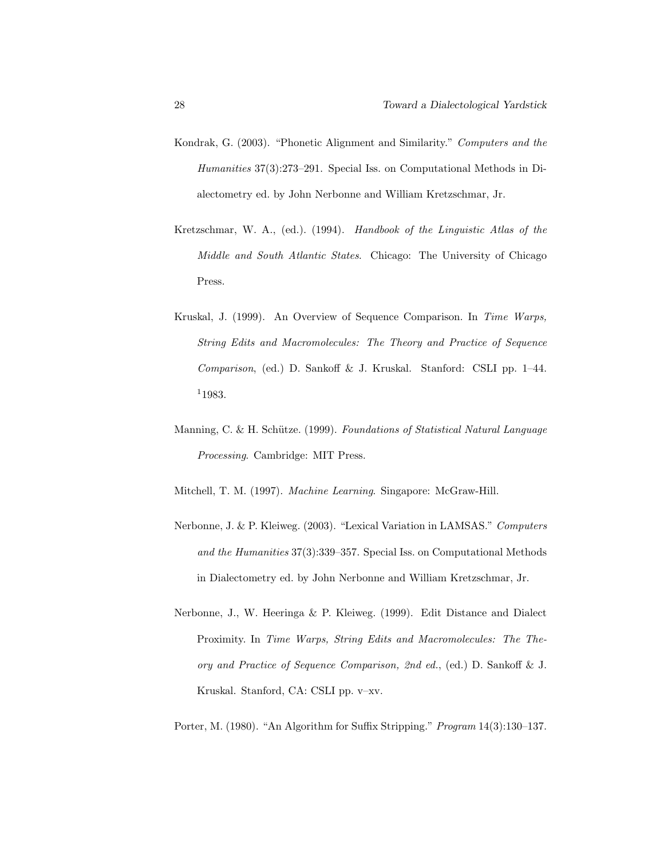- Kondrak, G. (2003). "Phonetic Alignment and Similarity." Computers and the Humanities 37(3):273–291. Special Iss. on Computational Methods in Dialectometry ed. by John Nerbonne and William Kretzschmar, Jr.
- Kretzschmar, W. A., (ed.). (1994). Handbook of the Linguistic Atlas of the Middle and South Atlantic States. Chicago: The University of Chicago Press.
- Kruskal, J. (1999). An Overview of Sequence Comparison. In Time Warps, String Edits and Macromolecules: The Theory and Practice of Sequence Comparison, (ed.) D. Sankoff & J. Kruskal. Stanford: CSLI pp. 1–44. <sup>1</sup>1983.
- Manning, C. & H. Schütze. (1999). Foundations of Statistical Natural Language Processing. Cambridge: MIT Press.

Mitchell, T. M. (1997). Machine Learning. Singapore: McGraw-Hill.

- Nerbonne, J. & P. Kleiweg. (2003). "Lexical Variation in LAMSAS." Computers and the Humanities 37(3):339–357. Special Iss. on Computational Methods in Dialectometry ed. by John Nerbonne and William Kretzschmar, Jr.
- Nerbonne, J., W. Heeringa & P. Kleiweg. (1999). Edit Distance and Dialect Proximity. In Time Warps, String Edits and Macromolecules: The Theory and Practice of Sequence Comparison, 2nd ed., (ed.) D. Sankoff & J. Kruskal. Stanford, CA: CSLI pp. v–xv.

Porter, M. (1980). "An Algorithm for Suffix Stripping." Program 14(3):130–137.